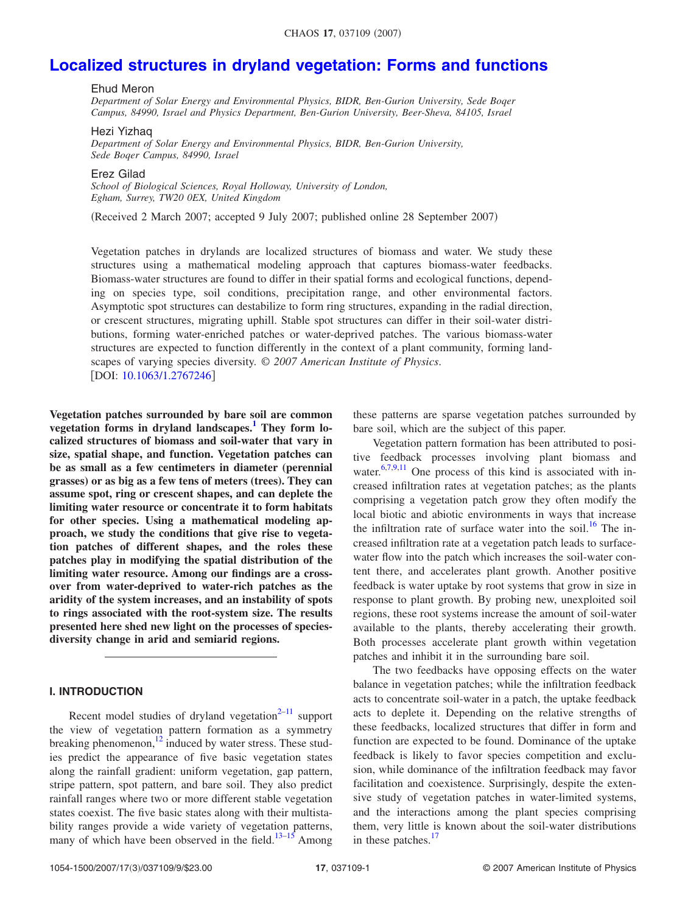# **[Localized structures in dryland vegetation: Forms and functions](http://dx.doi.org/10.1063/1.2767246)**

# Ehud Meron

*Department of Solar Energy and Environmental Physics, BIDR, Ben-Gurion University, Sede Boqer Campus, 84990, Israel and Physics Department, Ben-Gurion University, Beer-Sheva, 84105, Israel*

## Hezi Yizhaq

*Department of Solar Energy and Environmental Physics, BIDR, Ben-Gurion University, Sede Boqer Campus, 84990, Israel*

Erez Gilad

*School of Biological Sciences, Royal Holloway, University of London, Egham, Surrey, TW20 0EX, United Kingdom*

Received 2 March 2007; accepted 9 July 2007; published online 28 September 2007-

Vegetation patches in drylands are localized structures of biomass and water. We study these structures using a mathematical modeling approach that captures biomass-water feedbacks. Biomass-water structures are found to differ in their spatial forms and ecological functions, depending on species type, soil conditions, precipitation range, and other environmental factors. Asymptotic spot structures can destabilize to form ring structures, expanding in the radial direction, or crescent structures, migrating uphill. Stable spot structures can differ in their soil-water distributions, forming water-enriched patches or water-deprived patches. The various biomass-water structures are expected to function differently in the context of a plant community, forming landscapes of varying species diversity. © *2007 American Institute of Physics*. [DOI: [10.1063/1.2767246](http://dx.doi.org/10.1063/1.2767246)]

**Vegetation patches surrounded by bare soil are common vegetation forms in dryland landscapes[.1](#page-8-0) They form localized structures of biomass and soil-water that vary in size, spatial shape, and function. Vegetation patches can be as small as a few centimeters in diameter (perennial grasses) or as big as a few tens of meters (trees). They can assume spot, ring or crescent shapes, and can deplete the limiting water resource or concentrate it to form habitats for other species. Using a mathematical modeling approach, we study the conditions that give rise to vegetation patches of different shapes, and the roles these patches play in modifying the spatial distribution of the limiting water resource. Among our findings are a crossover from water-deprived to water-rich patches as the aridity of the system increases, and an instability of spots to rings associated with the root-system size. The results presented here shed new light on the processes of speciesdiversity change in arid and semiarid regions.**

# **I. INTRODUCTION**

Recent model studies of dryland vegetation $2^{-11}$  $2^{-11}$  $2^{-11}$  support the view of vegetation pattern formation as a symmetry breaking phenomenon[,12](#page-8-3) induced by water stress. These studies predict the appearance of five basic vegetation states along the rainfall gradient: uniform vegetation, gap pattern, stripe pattern, spot pattern, and bare soil. They also predict rainfall ranges where two or more different stable vegetation states coexist. The five basic states along with their multistability ranges provide a wide variety of vegetation patterns, many of which have been observed in the field.<sup>13–[15](#page-8-5)</sup> Among these patterns are sparse vegetation patches surrounded by bare soil, which are the subject of this paper.

Vegetation pattern formation has been attributed to positive feedback processes involving plant biomass and water.<sup>6,[7](#page-8-7)[,9](#page-8-8)[,11](#page-8-2)</sup> One process of this kind is associated with increased infiltration rates at vegetation patches; as the plants comprising a vegetation patch grow they often modify the local biotic and abiotic environments in ways that increase the infiltration rate of surface water into the soil.<sup>16</sup> The increased infiltration rate at a vegetation patch leads to surfacewater flow into the patch which increases the soil-water content there, and accelerates plant growth. Another positive feedback is water uptake by root systems that grow in size in response to plant growth. By probing new, unexploited soil regions, these root systems increase the amount of soil-water available to the plants, thereby accelerating their growth. Both processes accelerate plant growth within vegetation patches and inhibit it in the surrounding bare soil.

The two feedbacks have opposing effects on the water balance in vegetation patches; while the infiltration feedback acts to concentrate soil-water in a patch, the uptake feedback acts to deplete it. Depending on the relative strengths of these feedbacks, localized structures that differ in form and function are expected to be found. Dominance of the uptake feedback is likely to favor species competition and exclusion, while dominance of the infiltration feedback may favor facilitation and coexistence. Surprisingly, despite the extensive study of vegetation patches in water-limited systems, and the interactions among the plant species comprising them, very little is known about the soil-water distributions in these patches.<sup>17</sup>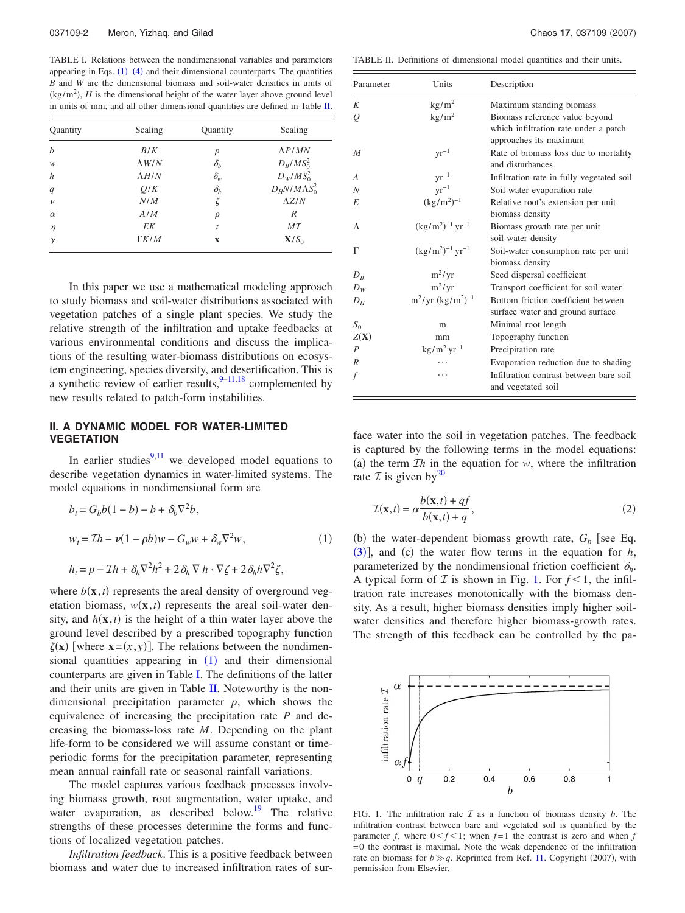<span id="page-1-1"></span>TABLE I. Relations between the nondimensional variables and parameters appearing in Eqs.  $(1)$  $(1)$  $(1)$ – $(4)$  $(4)$  $(4)$  and their dimensional counterparts. The quantities *B* and *W* are the dimensional biomass and soil-water densities in units of  $(kg/m<sup>2</sup>)$ , *H* is the dimensional height of the water layer above ground level in units of mm, and all other dimensional quantities are defined in Table [II.](#page-1-2)

| Quantity           | Scaling       | Quantity                        | Scaling                |
|--------------------|---------------|---------------------------------|------------------------|
| $\boldsymbol{h}$   | B/K           | $\boldsymbol{p}$                | $\Lambda P/MN$         |
| w                  | $\Lambda$ W/N | $\delta_b$                      | $D_B/MS_0^2$           |
| h                  | $\Lambda H/N$ | $\delta_{\scriptscriptstyle W}$ | $D_W/MS_0^2$           |
| $\boldsymbol{q}$   | O/K           | $\delta_h$                      | $D_H N/M\Lambda S_0^2$ |
| $\boldsymbol{\nu}$ | N/M           |                                 | $\Lambda Z/N$          |
| $\alpha$           | A/M           | ρ                               | R                      |
| $\eta$             | EK            | t                               | MT                     |
| $\gamma$           | $\Gamma K/M$  | $\mathbf x$                     | $X/S_0$                |

In this paper we use a mathematical modeling approach to study biomass and soil-water distributions associated with vegetation patches of a single plant species. We study the relative strength of the infiltration and uptake feedbacks at various environmental conditions and discuss the implications of the resulting water-biomass distributions on ecosystem engineering, species diversity, and desertification. This is a synthetic review of earlier results,  $9-11,18$  $9-11,18$  $9-11,18$  complemented by new results related to patch-form instabilities.

# **II. A DYNAMIC MODEL FOR WATER-LIMITED VEGETATION**

In earlier studies $9,11$  $9,11$  we developed model equations to describe vegetation dynamics in water-limited systems. The model equations in nondimensional form are

<span id="page-1-0"></span>
$$
b_t = G_b b(1 - b) - b + \delta_b \nabla^2 b,
$$
  
\n
$$
w_t = \mathcal{I}h - \nu(1 - \rho b)w - G_w w + \delta_w \nabla^2 w,
$$
  
\n
$$
h_t = p - \mathcal{I}h + \delta_h \nabla^2 h^2 + 2\delta_h \nabla h \cdot \nabla \zeta + 2\delta_h h \nabla^2 \zeta,
$$
\n(1)

where  $b(\mathbf{x},t)$  represents the areal density of overground vegetation biomass,  $w(\mathbf{x}, t)$  represents the areal soil-water density, and  $h(\mathbf{x},t)$  is the height of a thin water layer above the ground level described by a prescribed topography function  $\zeta(\mathbf{x})$  [where  $\mathbf{x} = (x, y)$ ]. The relations between the nondimensional quantities appearing in  $(1)$  $(1)$  $(1)$  and their dimensional counterparts are given in Table [I.](#page-1-1) The definitions of the latter and their units are given in Table [II.](#page-1-2) Noteworthy is the nondimensional precipitation parameter *p*, which shows the equivalence of increasing the precipitation rate *P* and decreasing the biomass-loss rate *M*. Depending on the plant life-form to be considered we will assume constant or timeperiodic forms for the precipitation parameter, representing mean annual rainfall rate or seasonal rainfall variations.

The model captures various feedback processes involving biomass growth, root augmentation, water uptake, and water evaporation, as described below.<sup>19</sup> The relative strengths of these processes determine the forms and functions of localized vegetation patches.

*Infiltration feedback*. This is a positive feedback between biomass and water due to increased infiltration rates of sur-

<span id="page-1-2"></span>TABLE II. Definitions of dimensional model quantities and their units.

| Parameter        | Units                                  | Description                                                                                       |
|------------------|----------------------------------------|---------------------------------------------------------------------------------------------------|
| Κ                | $\text{kg/m}^2$                        | Maximum standing biomass                                                                          |
| Q                | $\text{kg/m}^2$                        | Biomass reference value beyond<br>which infiltration rate under a patch<br>approaches its maximum |
| $\overline{M}$   | $\rm yr^{-1}$                          | Rate of biomass loss due to mortality<br>and disturbances                                         |
| A                | $yr^{-1}$                              | Infiltration rate in fully vegetated soil                                                         |
| Ν                | $\rm yr^{-1}$                          | Soil-water evaporation rate                                                                       |
| E                | $(kg/m^2)^{-1}$                        | Relative root's extension per unit<br>biomass density                                             |
| Λ                | $(kg/m^2)^{-1}$ yr <sup>-1</sup>       | Biomass growth rate per unit<br>soil-water density                                                |
| Г                | $(\text{kg/m}^2)^{-1} \text{ yr}^{-1}$ | Soil-water consumption rate per unit<br>biomass density                                           |
| $D_R$            | $m^2/yr$                               | Seed dispersal coefficient                                                                        |
| $D_{W}$          | $m^2/yr$                               | Transport coefficient for soil water                                                              |
| $D_H$            | $m^2$ /yr $(kg/m^2)^{-1}$              | Bottom friction coefficient between<br>surface water and ground surface                           |
| $S_0$            | m                                      | Minimal root length                                                                               |
| Z(X)             | mm                                     | Topography function                                                                               |
| $\boldsymbol{P}$ | $\text{kg/m}^2 \text{ yr}^{-1}$        | Precipitation rate                                                                                |
| R                |                                        | Evaporation reduction due to shading                                                              |
| f                |                                        | Infiltration contrast between bare soil<br>and vegetated soil                                     |

face water into the soil in vegetation patches. The feedback is captured by the following terms in the model equations: (a) the term  $\mathcal{I}h$  in the equation for *w*, where the infiltration rate  $\mathcal I$  is given by  $2^0$ 

$$
\mathcal{I}(\mathbf{x},t) = \alpha \frac{b(\mathbf{x},t) + qf}{b(\mathbf{x},t) + q},\tag{2}
$$

(b) the water-dependent biomass growth rate,  $G_b$  [see Eq.  $(3)$  $(3)$  $(3)$ ], and  $(c)$  the water flow terms in the equation for *h*, parameterized by the nondimensional friction coefficient  $\delta_h$ . A typical form of  $I$  is shown in Fig. [1.](#page-1-3) For  $f < 1$ , the infiltration rate increases monotonically with the biomass density. As a result, higher biomass densities imply higher soilwater densities and therefore higher biomass-growth rates. The strength of this feedback can be controlled by the pa-

<span id="page-1-3"></span>

FIG. 1. The infiltration rate  $I$  as a function of biomass density  $b$ . The infiltration contrast between bare and vegetated soil is quantified by the parameter *f*, where  $0 < f < 1$ ; when  $f = 1$  the contrast is zero and when *f*  $=0$  the contrast is maximal. Note the weak dependence of the infiltration rate on biomass for  $b \gg q$ . Reprinted from Ref. [11.](#page-8-2) Copyright (2007), with permission from Elsevier.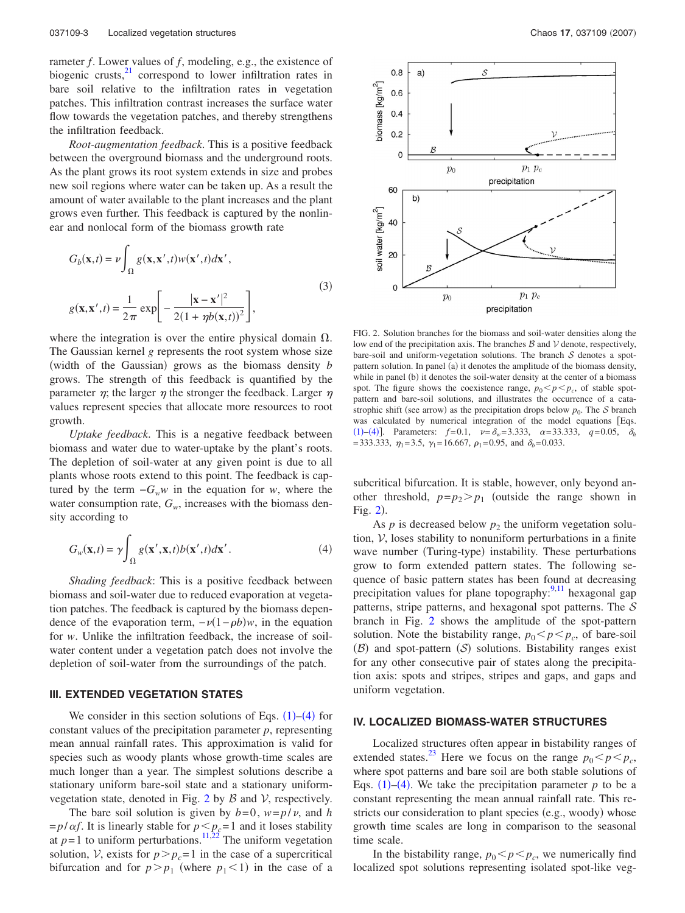rameter *f*. Lower values of *f*, modeling, e.g., the existence of biogenic crusts, $^{21}$  correspond to lower infiltration rates in bare soil relative to the infiltration rates in vegetation patches. This infiltration contrast increases the surface water flow towards the vegetation patches, and thereby strengthens the infiltration feedback.

*Root-augmentation feedback*. This is a positive feedback between the overground biomass and the underground roots. As the plant grows its root system extends in size and probes new soil regions where water can be taken up. As a result the amount of water available to the plant increases and the plant grows even further. This feedback is captured by the nonlinear and nonlocal form of the biomass growth rate

<span id="page-2-0"></span>
$$
G_b(\mathbf{x},t) = \nu \int_{\Omega} g(\mathbf{x}, \mathbf{x}',t) w(\mathbf{x}',t) d\mathbf{x}',
$$
  

$$
g(\mathbf{x}, \mathbf{x}',t) = \frac{1}{2\pi} \exp\left[-\frac{|\mathbf{x} - \mathbf{x}'|^2}{2(1 + \eta b(\mathbf{x},t))^2}\right],
$$
 (3)

where the integration is over the entire physical domain  $\Omega$ . The Gaussian kernel *g* represents the root system whose size (width of the Gaussian) grows as the biomass density *b* grows. The strength of this feedback is quantified by the parameter  $\eta$ ; the larger  $\eta$  the stronger the feedback. Larger  $\eta$ values represent species that allocate more resources to root growth.

*Uptake feedback*. This is a negative feedback between biomass and water due to water-uptake by the plant's roots. The depletion of soil-water at any given point is due to all plants whose roots extend to this point. The feedback is captured by the term  $-G_ww$  in the equation for *w*, where the water consumption rate,  $G_w$ , increases with the biomass density according to

<span id="page-2-1"></span>
$$
G_w(\mathbf{x},t) = \gamma \int_{\Omega} g(\mathbf{x}', \mathbf{x},t) b(\mathbf{x}',t) d\mathbf{x}'. \tag{4}
$$

*Shading feedback*: This is a positive feedback between biomass and soil-water due to reduced evaporation at vegetation patches. The feedback is captured by the biomass dependence of the evaporation term,  $-v(1-\rho b)w$ , in the equation for *w*. Unlike the infiltration feedback, the increase of soilwater content under a vegetation patch does not involve the depletion of soil-water from the surroundings of the patch.

#### **III. EXTENDED VEGETATION STATES**

We consider in this section solutions of Eqs.  $(1)$  $(1)$  $(1)$ – $(4)$  $(4)$  $(4)$  for constant values of the precipitation parameter *p*, representing mean annual rainfall rates. This approximation is valid for species such as woody plants whose growth-time scales are much longer than a year. The simplest solutions describe a stationary uniform bare-soil state and a stationary uniform-vegetation state, denoted in Fig. [2](#page-2-2) by  $\beta$  and  $\mathcal{V}$ , respectively.

The bare soil solution is given by  $b=0$ ,  $w=p/v$ , and *h*  $=p/\alpha f$ . It is linearly stable for  $p \leq p_c = 1$  and it loses stability at  $p=1$  to uniform perturbations.<sup>11,[22](#page-8-15)</sup> The uniform vegetation solution, V, exists for  $p > p_c = 1$  in the case of a supercritical bifurcation and for  $p > p_1$  (where  $p_1 < 1$ ) in the case of a

<span id="page-2-2"></span>

FIG. 2. Solution branches for the biomass and soil-water densities along the low end of the precipitation axis. The branches  $B$  and  $V$  denote, respectively, bare-soil and uniform-vegetation solutions. The branch  $S$  denotes a spotpattern solution. In panel (a) it denotes the amplitude of the biomass density, while in panel (b) it denotes the soil-water density at the center of a biomass spot. The figure shows the coexistence range,  $p_0 < p < p_c$ , of stable spotpattern and bare-soil solutions, and illustrates the occurrence of a catastrophic shift (see arrow) as the precipitation drops below  $p_0$ . The S branch was calculated by numerical integration of the model equations Eqs. ([1](#page-1-0))–([4](#page-2-1))]. Parameters:  $f=0.1$ ,  $v=\delta_w=3.333$ ,  $\alpha=33.333$ ,  $q=0.05$ ,  $\delta_h$ =333.333,  $\eta_1$ =3.5,  $\gamma_1$ =16.667,  $\rho_1$ =0.95, and  $\delta_b$ =0.033.

subcritical bifurcation. It is stable, however, only beyond another threshold,  $p=p_2>p_1$  (outside the range shown in Fig.  $2$ ).

As  $p$  is decreased below  $p_2$  the uniform vegetation solution, V, loses stability to nonuniform perturbations in a finite wave number (Turing-type) instability. These perturbations grow to form extended pattern states. The following sequence of basic pattern states has been found at decreasing precipitation values for plane topography: $\frac{9,11}{1}$  $\frac{9,11}{1}$  $\frac{9,11}{1}$  hexagonal gap patterns, stripe patterns, and hexagonal spot patterns. The  $S$ branch in Fig. [2](#page-2-2) shows the amplitude of the spot-pattern solution. Note the bistability range,  $p_0 < p < p_c$ , of bare-soil  $(B)$  and spot-pattern  $(S)$  solutions. Bistability ranges exist for any other consecutive pair of states along the precipitation axis: spots and stripes, stripes and gaps, and gaps and uniform vegetation.

# **IV. LOCALIZED BIOMASS-WATER STRUCTURES**

Localized structures often appear in bistability ranges of extended states.<sup>23</sup> Here we focus on the range  $p_0 < p < p_c$ , where spot patterns and bare soil are both stable solutions of Eqs.  $(1)$  $(1)$  $(1)$ – $(4)$  $(4)$  $(4)$ . We take the precipitation parameter *p* to be a constant representing the mean annual rainfall rate. This restricts our consideration to plant species (e.g., woody) whose growth time scales are long in comparison to the seasonal time scale.

In the bistability range,  $p_0 < p < p_c$ , we numerically find localized spot solutions representing isolated spot-like veg-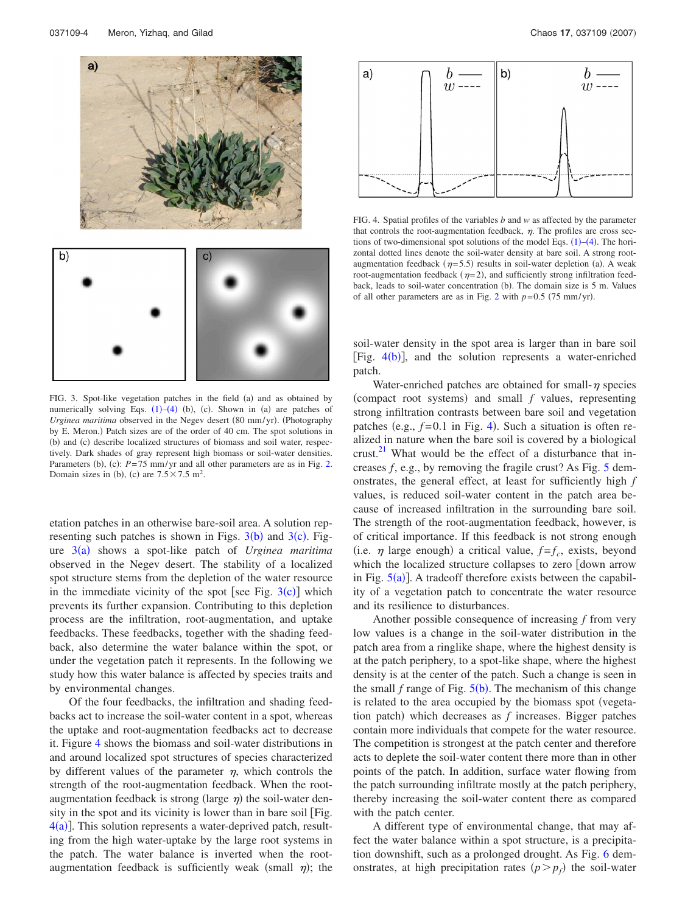<span id="page-3-0"></span>

FIG. 3. Spot-like vegetation patches in the field (a) and as obtained by numerically solving Eqs.  $(1)$  $(1)$  $(1)$ – $(4)$  $(4)$  $(4)$   $(b)$ ,  $(c)$ . Shown in  $(a)$  are patches of Urginea maritima observed in the Negev desert (80 mm/yr). (Photography by E. Meron.) Patch sizes are of the order of 40 cm. The spot solutions in (b) and (c) describe localized structures of biomass and soil water, respectively. Dark shades of gray represent high biomass or soil-water densities. Parameters (b), (c):  $P = 75$  mm/yr and all other parameters are as in Fig. [2.](#page-2-2) Domain sizes in (b), (c) are  $7.5 \times 7.5$  m<sup>2</sup>.

etation patches in an otherwise bare-soil area. A solution representing such patches is shown in Figs.  $3(b)$  $3(b)$  and  $3(c)$ . Fig-ure [3](#page-3-0)(a) shows a spot-like patch of *Urginea maritima* observed in the Negev desert. The stability of a localized spot structure stems from the depletion of the water resource in the immediate vicinity of the spot [see Fig.  $3(c)$  $3(c)$ ] which prevents its further expansion. Contributing to this depletion process are the infiltration, root-augmentation, and uptake feedbacks. These feedbacks, together with the shading feedback, also determine the water balance within the spot, or under the vegetation patch it represents. In the following we study how this water balance is affected by species traits and by environmental changes.

Of the four feedbacks, the infiltration and shading feedbacks act to increase the soil-water content in a spot, whereas the uptake and root-augmentation feedbacks act to decrease it. Figure [4](#page-3-1) shows the biomass and soil-water distributions in and around localized spot structures of species characterized by different values of the parameter  $\eta$ , which controls the strength of the root-augmentation feedback. When the rootaugmentation feedback is strong (large  $\eta$ ) the soil-water density in the spot and its vicinity is lower than in bare soil Fig.  $4(a)$  $4(a)$ ]. This solution represents a water-deprived patch, resulting from the high water-uptake by the large root systems in the patch. The water balance is inverted when the rootaugmentation feedback is sufficiently weak (small  $\eta$ ); the

<span id="page-3-1"></span>

FIG. 4. Spatial profiles of the variables *b* and *w* as affected by the parameter that controls the root-augmentation feedback,  $\eta$ . The profiles are cross sections of two-dimensional spot solutions of the model Eqs.  $(1)$  $(1)$  $(1)$ – $(4)$  $(4)$  $(4)$ . The horizontal dotted lines denote the soil-water density at bare soil. A strong rootaugmentation feedback ( $\eta$ =5.5) results in soil-water depletion (a). A weak root-augmentation feedback  $(\eta=2)$ , and sufficiently strong infiltration feedback, leads to soil-water concentration (b). The domain size is 5 m. Values of all other parameters are as in Fig. [2](#page-2-2) with  $p=0.5$  (75 mm/yr).

soil-water density in the spot area is larger than in bare soil [Fig.  $4(b)$  $4(b)$ ], and the solution represents a water-enriched patch.

Water-enriched patches are obtained for small- $\eta$  species (compact root systems) and small  $f$  values, representing strong infiltration contrasts between bare soil and vegetation patches (e.g.,  $f=0.1$  in Fig. [4](#page-3-1)). Such a situation is often realized in nature when the bare soil is covered by a biological crust. $^{21}$  What would be the effect of a disturbance that increases *f*, e.g., by removing the fragile crust? As Fig. [5](#page-4-0) demonstrates, the general effect, at least for sufficiently high *f* values, is reduced soil-water content in the patch area because of increased infiltration in the surrounding bare soil. The strength of the root-augmentation feedback, however, is of critical importance. If this feedback is not strong enough (i.e.  $\eta$  large enough) a critical value,  $f = f_c$ , exists, beyond which the localized structure collapses to zero [down arrow in Fig.  $5(a)$  $5(a)$ ]. A tradeoff therefore exists between the capability of a vegetation patch to concentrate the water resource and its resilience to disturbances.

Another possible consequence of increasing *f* from very low values is a change in the soil-water distribution in the patch area from a ringlike shape, where the highest density is at the patch periphery, to a spot-like shape, where the highest density is at the center of the patch. Such a change is seen in the small  $f$  range of Fig.  $5(b)$  $5(b)$ . The mechanism of this change is related to the area occupied by the biomass spot (vegetation patch) which decreases as  $f$  increases. Bigger patches contain more individuals that compete for the water resource. The competition is strongest at the patch center and therefore acts to deplete the soil-water content there more than in other points of the patch. In addition, surface water flowing from the patch surrounding infiltrate mostly at the patch periphery, thereby increasing the soil-water content there as compared with the patch center.

A different type of environmental change, that may affect the water balance within a spot structure, is a precipitation downshift, such as a prolonged drought. As Fig. [6](#page-4-1) demonstrates, at high precipitation rates  $(p > p_f)$  the soil-water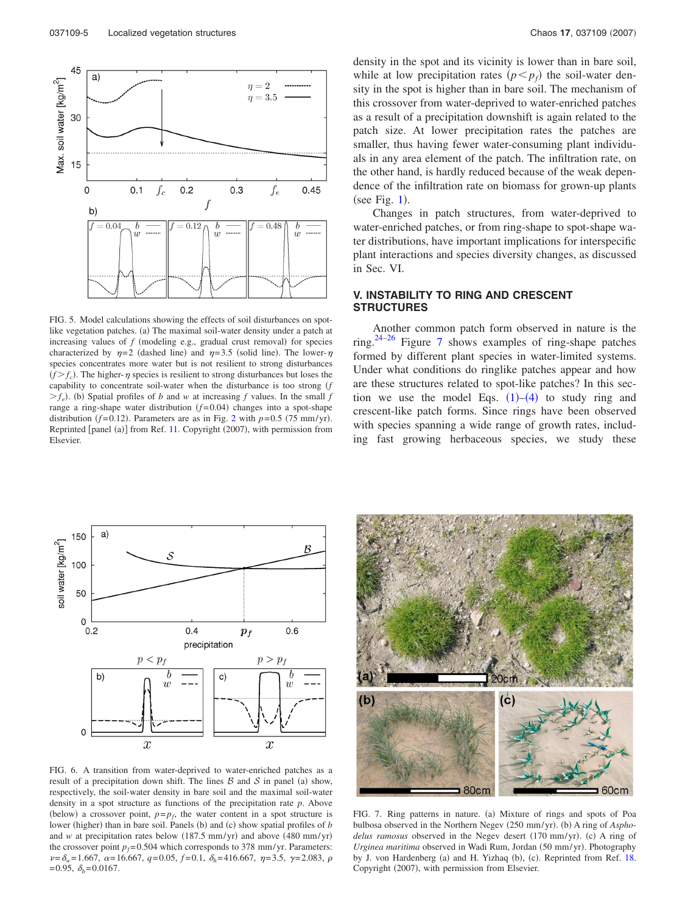<span id="page-4-0"></span>

FIG. 5. Model calculations showing the effects of soil disturbances on spotlike vegetation patches. (a) The maximal soil-water density under a patch at increasing values of  $f$  (modeling e.g., gradual crust removal) for species characterized by  $\eta=2$  (dashed line) and  $\eta=3.5$  (solid line). The lower- $\eta$ species concentrates more water but is not resilient to strong disturbances  $(f > f_c)$ . The higher- $\eta$  species is resilient to strong disturbances but loses the capability to concentrate soil-water when the disturbance is too strong *f*  $>f_e$ ). (b) Spatial profiles of *b* and *w* at increasing *f* values. In the small *f* range a ring-shape water distribution  $(f=0.04)$  changes into a spot-shape distribution  $(f=0.12)$  $(f=0.12)$  $(f=0.12)$ . Parameters are as in Fig. 2 with  $p=0.5$  (75 mm/yr). Reprinted [panel (a)] from Ref. [11.](#page-8-2) Copyright (2007), with permission from Elsevier.

density in the spot and its vicinity is lower than in bare soil, while at low precipitation rates  $(p < p_f)$  the soil-water density in the spot is higher than in bare soil. The mechanism of this crossover from water-deprived to water-enriched patches as a result of a precipitation downshift is again related to the patch size. At lower precipitation rates the patches are smaller, thus having fewer water-consuming plant individuals in any area element of the patch. The infiltration rate, on the other hand, is hardly reduced because of the weak dependence of the infiltration rate on biomass for grown-up plants  $(see Fig. 1).$  $(see Fig. 1).$  $(see Fig. 1).$ 

Changes in patch structures, from water-deprived to water-enriched patches, or from ring-shape to spot-shape water distributions, have important implications for interspecific plant interactions and species diversity changes, as discussed in Sec. VI.

# **V. INSTABILITY TO RING AND CRESCENT STRUCTURES**

Another common patch form observed in nature is the ring[.24](#page-8-17)[–26](#page-8-18) Figure [7](#page-4-2) shows examples of ring-shape patches formed by different plant species in water-limited systems. Under what conditions do ringlike patches appear and how are these structures related to spot-like patches? In this section we use the model Eqs.  $(1)$  $(1)$  $(1)$ – $(4)$  $(4)$  $(4)$  to study ring and crescent-like patch forms. Since rings have been observed with species spanning a wide range of growth rates, including fast growing herbaceous species, we study these

<span id="page-4-1"></span>

FIG. 6. A transition from water-deprived to water-enriched patches as a result of a precipitation down shift. The lines  $\beta$  and  $\delta$  in panel (a) show, respectively, the soil-water density in bare soil and the maximal soil-water density in a spot structure as functions of the precipitation rate *p*. Above (below) a crossover point,  $p = p_f$ , the water content in a spot structure is lower (higher) than in bare soil. Panels (b) and (c) show spatial profiles of *b* and *w* at precipitation rates below (187.5 mm/yr) and above (480 mm/yr) the crossover point  $p_f$ =0.504 which corresponds to 378 mm/yr. Parameters:  $\nu = \delta_w = 1.667$ ,  $\alpha = 16.667$ ,  $q = 0.05$ ,  $f = 0.1$ ,  $\delta_h = 416.667$ ,  $\eta = 3.5$ ,  $\gamma = 2.083$ ,  $\rho$  $=0.95, \delta_{\iota}=0.0167.$ 

<span id="page-4-2"></span>

FIG. 7. Ring patterns in nature. (a) Mixture of rings and spots of Poa bulbosa observed in the Northern Negev (250 mm/yr). (b) A ring of Asphodelus ramosus observed in the Negev desert (170 mm/yr). (c) A ring of Urginea maritima observed in Wadi Rum, Jordan (50 mm/yr). Photography by J. von Hardenberg (a) and H. Yizhaq (b), (c). Reprinted from Ref. [18.](#page-8-11) Copyright (2007), with permission from Elsevier.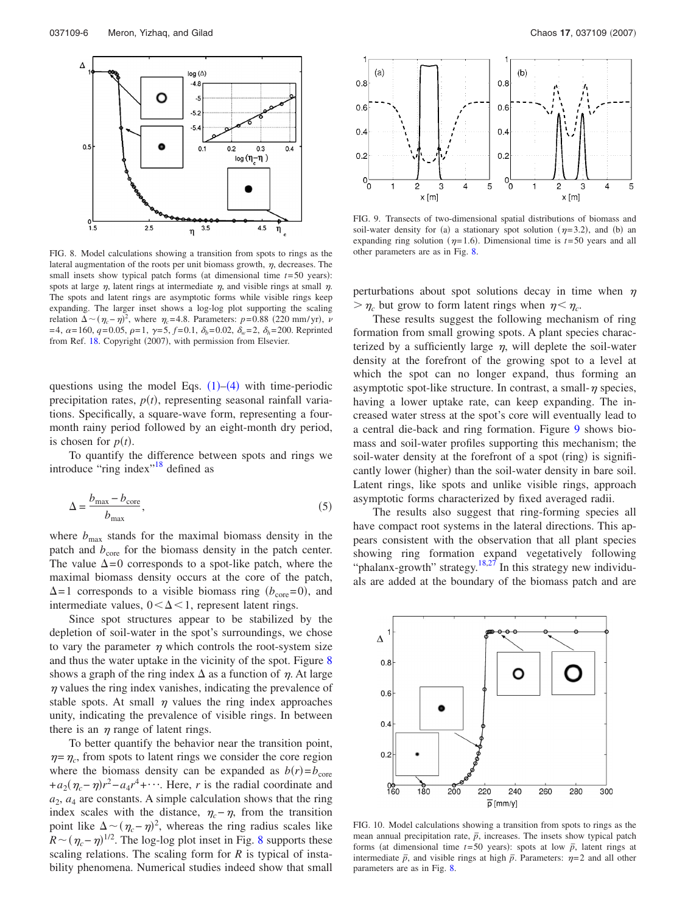<span id="page-5-0"></span>

FIG. 8. Model calculations showing a transition from spots to rings as the lateral augmentation of the roots per unit biomass growth,  $\eta$ , decreases. The small insets show typical patch forms (at dimensional time  $t = 50$  years): spots at large  $\eta$ , latent rings at intermediate  $\eta$ , and visible rings at small  $\eta$ . The spots and latent rings are asymptotic forms while visible rings keep expanding. The larger inset shows a log-log plot supporting the scaling relation  $\Delta \sim (\eta_c - \eta)^2$ , where  $\eta_c = 4.8$ . Parameters: *p*=0.88 (220 mm/yr), *v*  $=4$ ,  $\alpha = 160$ ,  $q = 0.05$ ,  $\rho = 1$ ,  $\gamma = 5$ ,  $f = 0.1$ ,  $\delta_b = 0.02$ ,  $\delta_w = 2$ ,  $\delta_h = 200$ . Reprinted from Ref. [18.](#page-8-11) Copyright (2007), with permission from Elsevier.

questions using the model Eqs.  $(1)$  $(1)$  $(1)$ – $(4)$  $(4)$  $(4)$  with time-periodic precipitation rates,  $p(t)$ , representing seasonal rainfall variations. Specifically, a square-wave form, representing a fourmonth rainy period followed by an eight-month dry period, is chosen for  $p(t)$ .

To quantify the difference between spots and rings we introduce "ring index"<sup>18</sup> defined as

$$
\Delta = \frac{b_{\text{max}} - b_{\text{core}}}{b_{\text{max}}},\tag{5}
$$

where  $b_{\text{max}}$  stands for the maximal biomass density in the patch and  $b_{\text{core}}$  for the biomass density in the patch center. The value  $\Delta = 0$  corresponds to a spot-like patch, where the maximal biomass density occurs at the core of the patch,  $\Delta$ =1 corresponds to a visible biomass ring *(b<sub>core</sub>*=0), and intermediate values,  $0<\Delta<1$ , represent latent rings.

Since spot structures appear to be stabilized by the depletion of soil-water in the spot's surroundings, we chose to vary the parameter  $\eta$  which controls the root-system size and thus the water uptake in the vicinity of the spot. Figure [8](#page-5-0) shows a graph of the ring index  $\Delta$  as a function of  $\eta$ . At large  $\eta$  values the ring index vanishes, indicating the prevalence of stable spots. At small  $\eta$  values the ring index approaches unity, indicating the prevalence of visible rings. In between there is an  $\eta$  range of latent rings.

To better quantify the behavior near the transition point,  $\eta = \eta_c$ , from spots to latent rings we consider the core region where the biomass density can be expanded as  $b(r)=b_{\text{core}}$  $+a_2(\eta_c-\eta)r^2-a_4r^4+\cdots$ . Here, *r* is the radial coordinate and  $a_2$ ,  $a_4$  are constants. A simple calculation shows that the ring index scales with the distance,  $\eta_c - \eta$ , from the transition point like  $\Delta \sim (\eta_c - \eta)^2$ , whereas the ring radius scales like  $R \sim (\eta_c - \eta)^{1/2}$ . The log-log plot inset in Fig. [8](#page-5-0) supports these scaling relations. The scaling form for *R* is typical of instability phenomena. Numerical studies indeed show that small

<span id="page-5-1"></span>

FIG. 9. Transects of two-dimensional spatial distributions of biomass and soil-water density for (a) a stationary spot solution ( $\eta$ =3.2), and (b) an expanding ring solution ( $\eta$ =1.6). Dimensional time is *t*=50 years and all other parameters are as in Fig. [8.](#page-5-0)

perturbations about spot solutions decay in time when  $\eta$  $>\eta_c$  but grow to form latent rings when  $\eta < \eta_c$ .

These results suggest the following mechanism of ring formation from small growing spots. A plant species characterized by a sufficiently large  $\eta$ , will deplete the soil-water density at the forefront of the growing spot to a level at which the spot can no longer expand, thus forming an asymptotic spot-like structure. In contrast, a small- $\eta$  species, having a lower uptake rate, can keep expanding. The increased water stress at the spot's core will eventually lead to a central die-back and ring formation. Figure [9](#page-5-1) shows biomass and soil-water profiles supporting this mechanism; the soil-water density at the forefront of a spot (ring) is significantly lower (higher) than the soil-water density in bare soil. Latent rings, like spots and unlike visible rings, approach asymptotic forms characterized by fixed averaged radii.

The results also suggest that ring-forming species all have compact root systems in the lateral directions. This appears consistent with the observation that all plant species showing ring formation expand vegetatively following "phalanx-growth" strategy.<sup>18,[27](#page-8-19)</sup> In this strategy new individuals are added at the boundary of the biomass patch and are

<span id="page-5-2"></span>

FIG. 10. Model calculations showing a transition from spots to rings as the mean annual precipitation rate,  $\bar{p}$ , increases. The insets show typical patch forms (at dimensional time  $t=50$  years): spots at low  $\bar{p}$ , latent rings at intermediate  $\bar{p}$ , and visible rings at high  $\bar{p}$ . Parameters:  $\eta = 2$  and all other parameters are as in Fig. [8.](#page-5-0)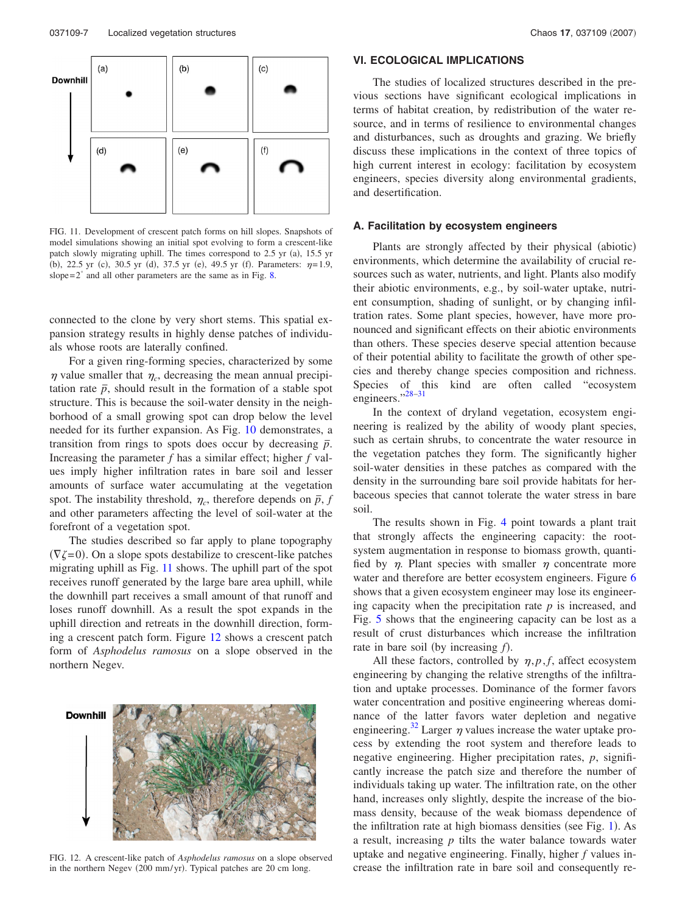<span id="page-6-0"></span>

FIG. 11. Development of crescent patch forms on hill slopes. Snapshots of model simulations showing an initial spot evolving to form a crescent-like patch slowly migrating uphill. The times correspond to 2.5 yr (a), 15.5 yr (b), 22.5 yr (c), 30.5 yr (d), 37.5 yr (e), 49.5 yr (f). Parameters:  $\eta = 1.9$ , slope $=2^{\circ}$  and all other parameters are the same as in Fig. [8.](#page-5-0)

connected to the clone by very short stems. This spatial expansion strategy results in highly dense patches of individuals whose roots are laterally confined.

For a given ring-forming species, characterized by some  $\eta$  value smaller that  $\eta_c$ , decreasing the mean annual precipitation rate  $\bar{p}$ , should result in the formation of a stable spot structure. This is because the soil-water density in the neighborhood of a small growing spot can drop below the level needed for its further expansion. As Fig. [10](#page-5-2) demonstrates, a transition from rings to spots does occur by decreasing  $\bar{p}$ . Increasing the parameter *f* has a similar effect; higher *f* values imply higher infiltration rates in bare soil and lesser amounts of surface water accumulating at the vegetation spot. The instability threshold,  $\eta_c$ , therefore depends on  $\bar{p}$ , *f* and other parameters affecting the level of soil-water at the forefront of a vegetation spot.

The studies described so far apply to plane topography  $(\nabla \zeta = 0)$ . On a slope spots destabilize to crescent-like patches migrating uphill as Fig. [11](#page-6-0) shows. The uphill part of the spot receives runoff generated by the large bare area uphill, while the downhill part receives a small amount of that runoff and loses runoff downhill. As a result the spot expands in the uphill direction and retreats in the downhill direction, forming a crescent patch form. Figure [12](#page-6-1) shows a crescent patch form of *Asphodelus ramosus* on a slope observed in the northern Negev.

<span id="page-6-1"></span>

FIG. 12. A crescent-like patch of *Asphodelus ramosus* on a slope observed in the northern Negev (200 mm/yr). Typical patches are 20 cm long.

# **VI. ECOLOGICAL IMPLICATIONS**

The studies of localized structures described in the previous sections have significant ecological implications in terms of habitat creation, by redistribution of the water resource, and in terms of resilience to environmental changes and disturbances, such as droughts and grazing. We briefly discuss these implications in the context of three topics of high current interest in ecology: facilitation by ecosystem engineers, species diversity along environmental gradients, and desertification.

## **A. Facilitation by ecosystem engineers**

Plants are strongly affected by their physical (abiotic) environments, which determine the availability of crucial resources such as water, nutrients, and light. Plants also modify their abiotic environments, e.g., by soil-water uptake, nutrient consumption, shading of sunlight, or by changing infiltration rates. Some plant species, however, have more pronounced and significant effects on their abiotic environments than others. These species deserve special attention because of their potential ability to facilitate the growth of other species and thereby change species composition and richness. Species of this kind are often called "ecosystem engineers."<sup>28-31</sup>

In the context of dryland vegetation, ecosystem engineering is realized by the ability of woody plant species, such as certain shrubs, to concentrate the water resource in the vegetation patches they form. The significantly higher soil-water densities in these patches as compared with the density in the surrounding bare soil provide habitats for herbaceous species that cannot tolerate the water stress in bare soil.

The results shown in Fig. [4](#page-3-1) point towards a plant trait that strongly affects the engineering capacity: the rootsystem augmentation in response to biomass growth, quantified by  $\eta$ . Plant species with smaller  $\eta$  concentrate more water and therefore are better ecosystem engineers. Figure [6](#page-4-1) shows that a given ecosystem engineer may lose its engineering capacity when the precipitation rate  $p$  is increased, and Fig. [5](#page-4-0) shows that the engineering capacity can be lost as a result of crust disturbances which increase the infiltration rate in bare soil (by increasing  $f$ ).

All these factors, controlled by  $\eta$ ,  $p$ ,  $f$ , affect ecosystem engineering by changing the relative strengths of the infiltration and uptake processes. Dominance of the former favors water concentration and positive engineering whereas dominance of the latter favors water depletion and negative engineering.<sup>32</sup> Larger  $\eta$  values increase the water uptake process by extending the root system and therefore leads to negative engineering. Higher precipitation rates, *p*, significantly increase the patch size and therefore the number of individuals taking up water. The infiltration rate, on the other hand, increases only slightly, despite the increase of the biomass density, because of the weak biomass dependence of the infiltration rate at high biomass densities (see Fig. [1](#page-1-3)). As a result, increasing *p* tilts the water balance towards water uptake and negative engineering. Finally, higher *f* values increase the infiltration rate in bare soil and consequently re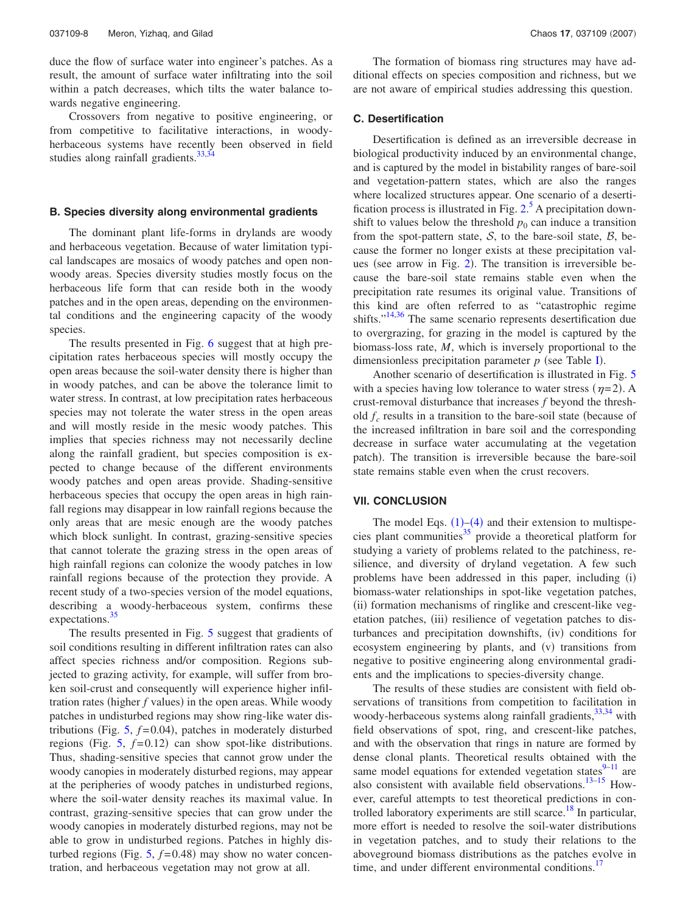duce the flow of surface water into engineer's patches. As a result, the amount of surface water infiltrating into the soil within a patch decreases, which tilts the water balance towards negative engineering.

Crossovers from negative to positive engineering, or from competitive to facilitative interactions, in woodyherbaceous systems have recently been observed in field studies along rainfall gradients. $33,34$  $33,34$ 

## **B. Species diversity along environmental gradients**

The dominant plant life-forms in drylands are woody and herbaceous vegetation. Because of water limitation typical landscapes are mosaics of woody patches and open nonwoody areas. Species diversity studies mostly focus on the herbaceous life form that can reside both in the woody patches and in the open areas, depending on the environmental conditions and the engineering capacity of the woody species.

The results presented in Fig. [6](#page-4-1) suggest that at high precipitation rates herbaceous species will mostly occupy the open areas because the soil-water density there is higher than in woody patches, and can be above the tolerance limit to water stress. In contrast, at low precipitation rates herbaceous species may not tolerate the water stress in the open areas and will mostly reside in the mesic woody patches. This implies that species richness may not necessarily decline along the rainfall gradient, but species composition is expected to change because of the different environments woody patches and open areas provide. Shading-sensitive herbaceous species that occupy the open areas in high rainfall regions may disappear in low rainfall regions because the only areas that are mesic enough are the woody patches which block sunlight. In contrast, grazing-sensitive species that cannot tolerate the grazing stress in the open areas of high rainfall regions can colonize the woody patches in low rainfall regions because of the protection they provide. A recent study of a two-species version of the model equations, describing a woody-herbaceous system, confirms these expectations.<sup>35</sup>

The results presented in Fig. [5](#page-4-0) suggest that gradients of soil conditions resulting in different infiltration rates can also affect species richness and/or composition. Regions subjected to grazing activity, for example, will suffer from broken soil-crust and consequently will experience higher infiltration rates (higher  $f$  values) in the open areas. While woody patches in undisturbed regions may show ring-like water distributions (Fig.  $5$ ,  $f=0.04$ ), patches in moderately disturbed regions (Fig.  $5$ ,  $f=0.12$ ) can show spot-like distributions. Thus, shading-sensitive species that cannot grow under the woody canopies in moderately disturbed regions, may appear at the peripheries of woody patches in undisturbed regions, where the soil-water density reaches its maximal value. In contrast, grazing-sensitive species that can grow under the woody canopies in moderately disturbed regions, may not be able to grow in undisturbed regions. Patches in highly disturbed regions (Fig.  $5, f=0.48$  $5, f=0.48$ ) may show no water concentration, and herbaceous vegetation may not grow at all.

The formation of biomass ring structures may have additional effects on species composition and richness, but we are not aware of empirical studies addressing this question.

#### **C. Desertification**

Desertification is defined as an irreversible decrease in biological productivity induced by an environmental change, and is captured by the model in bistability ranges of bare-soil and vegetation-pattern states, which are also the ranges where localized structures appear. One scenario of a desertification process is illustrated in Fig.  $2<sup>5</sup>$  $2<sup>5</sup>$  $2<sup>5</sup>$  A precipitation downshift to values below the threshold  $p_0$  can induce a transition from the spot-pattern state,  $S$ , to the bare-soil state,  $B$ , because the former no longer exists at these precipitation values (see arrow in Fig.  $2$ ). The transition is irreversible because the bare-soil state remains stable even when the precipitation rate resumes its original value. Transitions of this kind are often referred to as "catastrophic regime shifts."<sup>14,[36](#page-8-28)</sup> The same scenario represents desertification due to overgrazing, for grazing in the model is captured by the biomass-loss rate, *M*, which is inversely proportional to the dimensionless precipitation parameter  $p$  (see Table [I](#page-1-1)).

Another scenario of desertification is illustrated in Fig. [5](#page-4-0) with a species having low tolerance to water stress  $(\eta=2)$ . A crust-removal disturbance that increases *f* beyond the threshold  $f_c$  results in a transition to the bare-soil state (because of the increased infiltration in bare soil and the corresponding decrease in surface water accumulating at the vegetation patch). The transition is irreversible because the bare-soil state remains stable even when the crust recovers.

## **VII. CONCLUSION**

The model Eqs.  $(1)$  $(1)$  $(1)$ – $(4)$  $(4)$  $(4)$  and their extension to multispecies plant communities<sup>35</sup> provide a theoretical platform for studying a variety of problems related to the patchiness, resilience, and diversity of dryland vegetation. A few such problems have been addressed in this paper, including (i) biomass-water relationships in spot-like vegetation patches, (ii) formation mechanisms of ringlike and crescent-like vegetation patches, (iii) resilience of vegetation patches to disturbances and precipitation downshifts, (iv) conditions for ecosystem engineering by plants, and (v) transitions from negative to positive engineering along environmental gradients and the implications to species-diversity change.

The results of these studies are consistent with field observations of transitions from competition to facilitation in woody-herbaceous systems along rainfall gradients,  $33,34$  $33,34$  with field observations of spot, ring, and crescent-like patches, and with the observation that rings in nature are formed by dense clonal plants. Theoretical results obtained with the same model equations for extended vegetation states $9-11$  are also consistent with available field observations.<sup>13-15</sup> However, careful attempts to test theoretical predictions in controlled laboratory experiments are still scarce.<sup>18</sup> In particular, more effort is needed to resolve the soil-water distributions in vegetation patches, and to study their relations to the aboveground biomass distributions as the patches evolve in time, and under different environmental conditions.<sup>17</sup>